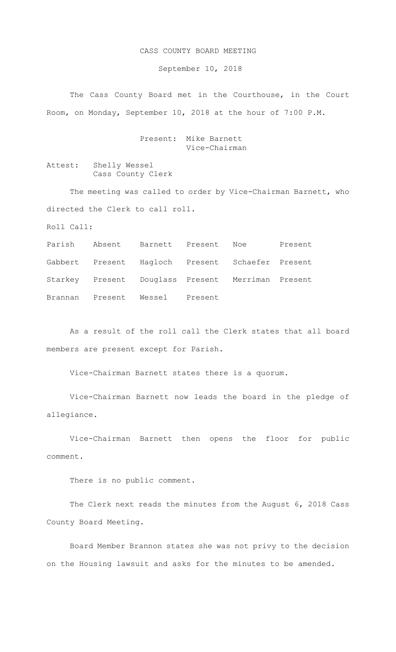## CASS COUNTY BOARD MEETING

September 10, 2018

The Cass County Board met in the Courthouse, in the Court Room, on Monday, September 10, 2018 at the hour of 7:00 P.M.

> Present: Mike Barnett Vice-Chairman

Attest: Shelly Wessel Cass County Clerk

The meeting was called to order by Vice-Chairman Barnett, who directed the Clerk to call roll.

Roll Call:

|  |                                | Parish Absent Barnett Present Noe                 | Present |
|--|--------------------------------|---------------------------------------------------|---------|
|  |                                | Gabbert Present Hagloch Present Schaefer Present  |         |
|  |                                | Starkey Present Douglass Present Merriman Present |         |
|  | Brannan Present Wessel Present |                                                   |         |

As a result of the roll call the Clerk states that all board members are present except for Parish.

Vice-Chairman Barnett states there is a quorum.

Vice-Chairman Barnett now leads the board in the pledge of allegiance.

Vice-Chairman Barnett then opens the floor for public comment.

There is no public comment.

The Clerk next reads the minutes from the August 6, 2018 Cass County Board Meeting.

Board Member Brannon states she was not privy to the decision on the Housing lawsuit and asks for the minutes to be amended.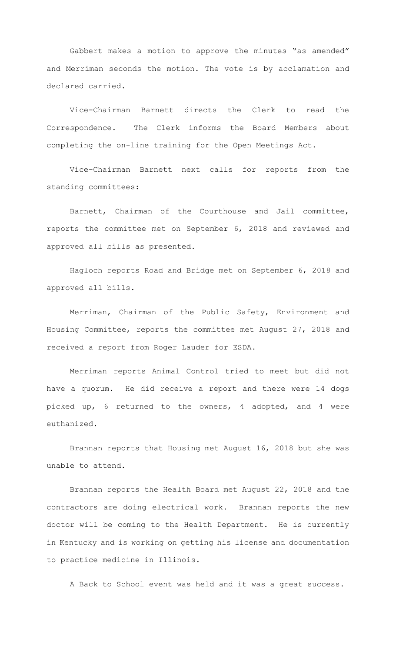Gabbert makes a motion to approve the minutes "as amended" and Merriman seconds the motion. The vote is by acclamation and declared carried.

Vice-Chairman Barnett directs the Clerk to read the Correspondence. The Clerk informs the Board Members about completing the on-line training for the Open Meetings Act.

Vice-Chairman Barnett next calls for reports from the standing committees:

Barnett, Chairman of the Courthouse and Jail committee, reports the committee met on September 6, 2018 and reviewed and approved all bills as presented.

Hagloch reports Road and Bridge met on September 6, 2018 and approved all bills.

Merriman, Chairman of the Public Safety, Environment and Housing Committee, reports the committee met August 27, 2018 and received a report from Roger Lauder for ESDA.

Merriman reports Animal Control tried to meet but did not have a quorum. He did receive a report and there were 14 dogs picked up, 6 returned to the owners, 4 adopted, and 4 were euthanized.

Brannan reports that Housing met August 16, 2018 but she was unable to attend.

Brannan reports the Health Board met August 22, 2018 and the contractors are doing electrical work. Brannan reports the new doctor will be coming to the Health Department. He is currently in Kentucky and is working on getting his license and documentation to practice medicine in Illinois.

A Back to School event was held and it was a great success.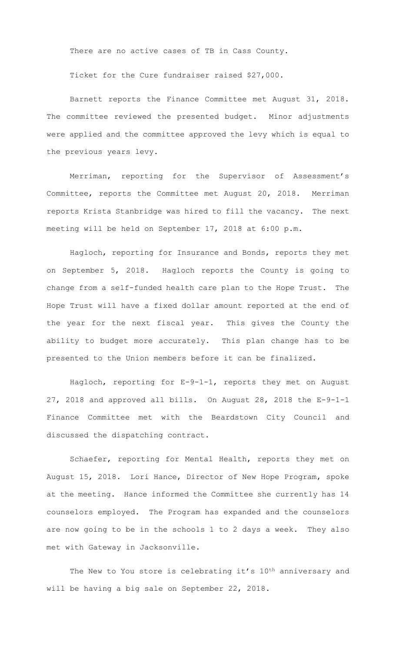There are no active cases of TB in Cass County.

Ticket for the Cure fundraiser raised \$27,000.

Barnett reports the Finance Committee met August 31, 2018. The committee reviewed the presented budget. Minor adjustments were applied and the committee approved the levy which is equal to the previous years levy.

Merriman, reporting for the Supervisor of Assessment's Committee, reports the Committee met August 20, 2018. Merriman reports Krista Stanbridge was hired to fill the vacancy. The next meeting will be held on September 17, 2018 at 6:00 p.m.

Hagloch, reporting for Insurance and Bonds, reports they met on September 5, 2018. Hagloch reports the County is going to change from a self-funded health care plan to the Hope Trust. The Hope Trust will have a fixed dollar amount reported at the end of the year for the next fiscal year. This gives the County the ability to budget more accurately. This plan change has to be presented to the Union members before it can be finalized.

Hagloch, reporting for E-9-1-1, reports they met on August 27, 2018 and approved all bills. On August 28, 2018 the E-9-1-1 Finance Committee met with the Beardstown City Council and discussed the dispatching contract.

Schaefer, reporting for Mental Health, reports they met on August 15, 2018. Lori Hance, Director of New Hope Program, spoke at the meeting. Hance informed the Committee she currently has 14 counselors employed. The Program has expanded and the counselors are now going to be in the schools 1 to 2 days a week. They also met with Gateway in Jacksonville.

The New to You store is celebrating it's 10<sup>th</sup> anniversary and will be having a big sale on September 22, 2018.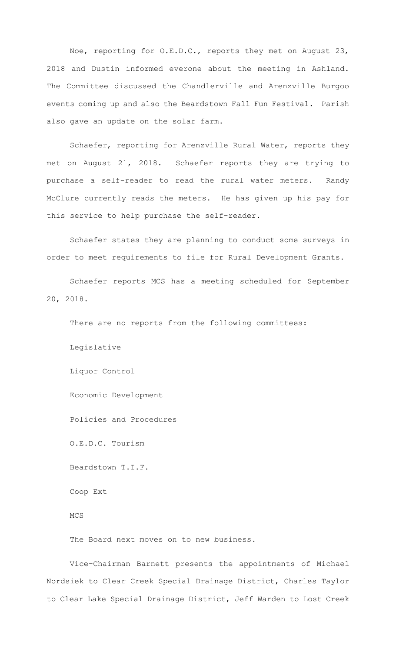Noe, reporting for O.E.D.C., reports they met on August 23, 2018 and Dustin informed everone about the meeting in Ashland. The Committee discussed the Chandlerville and Arenzville Burgoo events coming up and also the Beardstown Fall Fun Festival. Parish also gave an update on the solar farm.

Schaefer, reporting for Arenzville Rural Water, reports they met on August 21, 2018. Schaefer reports they are trying to purchase a self-reader to read the rural water meters. Randy McClure currently reads the meters. He has given up his pay for this service to help purchase the self-reader.

Schaefer states they are planning to conduct some surveys in order to meet requirements to file for Rural Development Grants.

Schaefer reports MCS has a meeting scheduled for September 20, 2018.

There are no reports from the following committees:

Legislative

Liquor Control

Economic Development

Policies and Procedures

O.E.D.C. Tourism

Beardstown T.I.F.

Coop Ext

MCS

The Board next moves on to new business.

Vice-Chairman Barnett presents the appointments of Michael Nordsiek to Clear Creek Special Drainage District, Charles Taylor to Clear Lake Special Drainage District, Jeff Warden to Lost Creek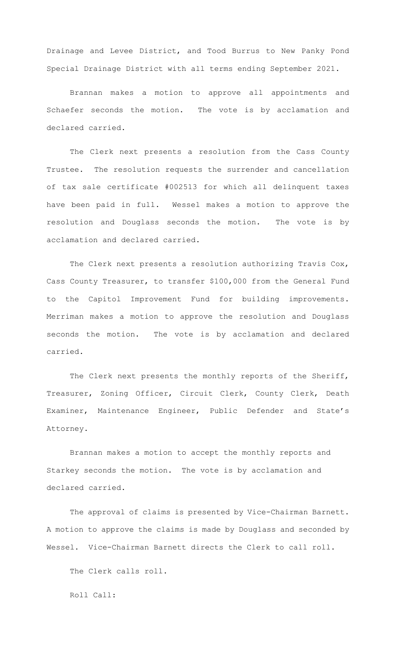Drainage and Levee District, and Tood Burrus to New Panky Pond Special Drainage District with all terms ending September 2021.

Brannan makes a motion to approve all appointments and Schaefer seconds the motion. The vote is by acclamation and declared carried.

The Clerk next presents a resolution from the Cass County Trustee. The resolution requests the surrender and cancellation of tax sale certificate #002513 for which all delinquent taxes have been paid in full. Wessel makes a motion to approve the resolution and Douglass seconds the motion. The vote is by acclamation and declared carried.

The Clerk next presents a resolution authorizing Travis Cox, Cass County Treasurer, to transfer \$100,000 from the General Fund to the Capitol Improvement Fund for building improvements. Merriman makes a motion to approve the resolution and Douglass seconds the motion. The vote is by acclamation and declared carried.

 The Clerk next presents the monthly reports of the Sheriff, Treasurer, Zoning Officer, Circuit Clerk, County Clerk, Death Examiner, Maintenance Engineer, Public Defender and State's Attorney.

Brannan makes a motion to accept the monthly reports and Starkey seconds the motion. The vote is by acclamation and declared carried.

The approval of claims is presented by Vice-Chairman Barnett. A motion to approve the claims is made by Douglass and seconded by Wessel. Vice-Chairman Barnett directs the Clerk to call roll.

The Clerk calls roll.

Roll Call: